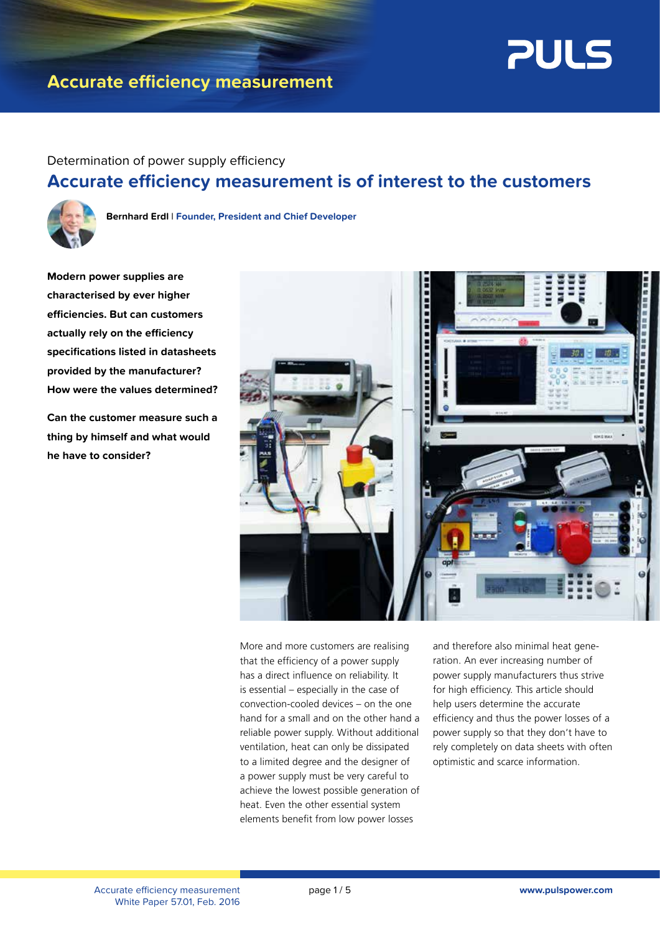

# **Accurate efficiency measurement**

## Determination of power supply efficiency **Accurate efficiency measurement is of interest to the customers**



**Bernhard Erdl** l **Founder, President and Chief Developer**

**Modern power supplies are characterised by ever higher efficiencies. But can customers actually rely on the efficiency specifications listed in datasheets provided by the manufacturer? How were the values determined?**

**Can the customer measure such a thing by himself and what would he have to consider?**



More and more customers are realising that the efficiency of a power supply has a direct influence on reliability. It is essential – especially in the case of convection-cooled devices – on the one hand for a small and on the other hand a reliable power supply. Without additional ventilation, heat can only be dissipated to a limited degree and the designer of a power supply must be very careful to achieve the lowest possible generation of heat. Even the other essential system elements benefit from low power losses

and therefore also minimal heat generation. An ever increasing number of power supply manufacturers thus strive for high efficiency. This article should help users determine the accurate efficiency and thus the power losses of a power supply so that they don't have to rely completely on data sheets with often optimistic and scarce information.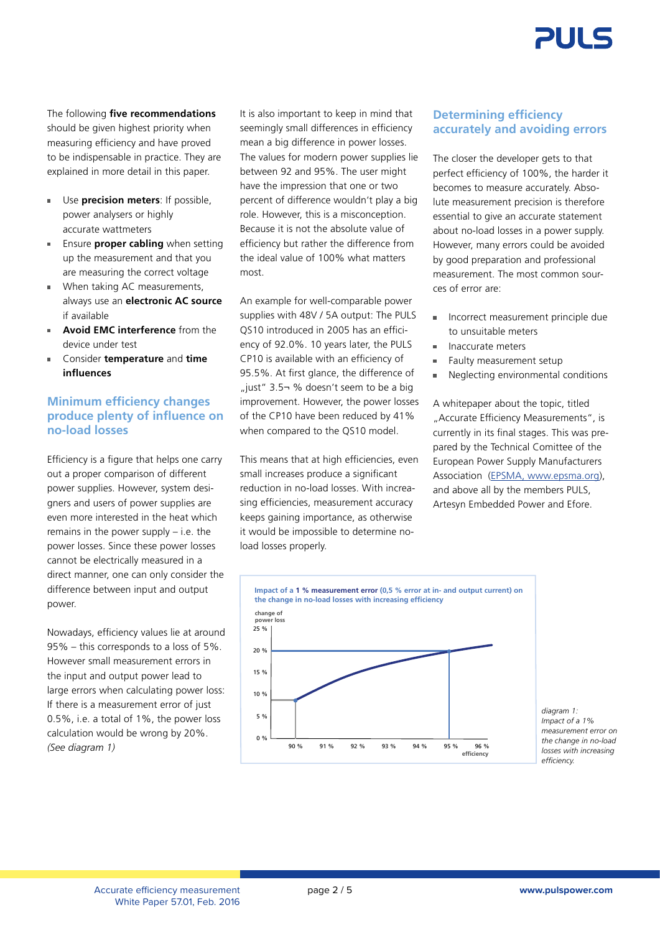

The following **five recommendations** should be given highest priority when measuring efficiency and have proved to be indispensable in practice. They are explained in more detail in this paper.

- Use **precision meters**: If possible, power analysers or highly accurate wattmeters
- **Ensure proper cabling** when setting up the measurement and that you are measuring the correct voltage
- **When taking AC measurements.** always use an **electronic AC source** if available
- **Avoid EMC interference** from the device under test
- Consider **temperature** and **time influences**

### **Minimum efficiency changes produce plenty of influence on no-load losses**

Efficiency is a figure that helps one carry out a proper comparison of different power supplies. However, system designers and users of power supplies are even more interested in the heat which remains in the power supply – i.e. the power losses. Since these power losses cannot be electrically measured in a direct manner, one can only consider the difference between input and output power.

Nowadays, efficiency values lie at around 95% – this corresponds to a loss of 5%. However small measurement errors in the input and output power lead to large errors when calculating power loss: If there is a measurement error of just 0.5%, i.e. a total of 1%, the power loss calculation would be wrong by 20%. *(See diagram 1)*

It is also important to keep in mind that seemingly small differences in efficiency mean a big difference in power losses. The values for modern power supplies lie between 92 and 95%. The user might have the impression that one or two percent of difference wouldn't play a big role. However, this is a misconception. Because it is not the absolute value of efficiency but rather the difference from the ideal value of 100% what matters most.

An example for well-comparable power supplies with 48V / 5A output: The PULS QS10 introduced in 2005 has an efficiency of 92.0%. 10 years later, the PULS CP10 is available with an efficiency of 95.5%. At first glance, the difference of ", just"  $3.5\neg$  % doesn't seem to be a big improvement. However, the power losses of the CP10 have been reduced by 41% when compared to the QS10 model.

This means that at high efficiencies, even small increases produce a significant reduction in no-load losses. With increasing efficiencies, measurement accuracy keeps gaining importance, as otherwise it would be impossible to determine noload losses properly.

### **Determining efficiency accurately and avoiding errors**

The closer the developer gets to that perfect efficiency of 100%, the harder it becomes to measure accurately. Absolute measurement precision is therefore essential to give an accurate statement about no-load losses in a power supply. However, many errors could be avoided by good preparation and professional measurement. The most common sources of error are:

- Incorrect measurement principle due to unsuitable meters
- **Inaccurate meters**
- Faulty measurement setup
- Neglecting environmental conditions

A whitepaper about the topic, titled "Accurate Efficiency Measurements", is currently in its final stages. This was prepared by the Technical Comittee of the European Power Supply Manufacturers Association (EPSMA, www.epsma.org), and above all by the members PULS, Artesyn Embedded Power and Efore.



*diagram 1: Impact of a 1% measurement error on the change in no-load losses with increasing efficiency.*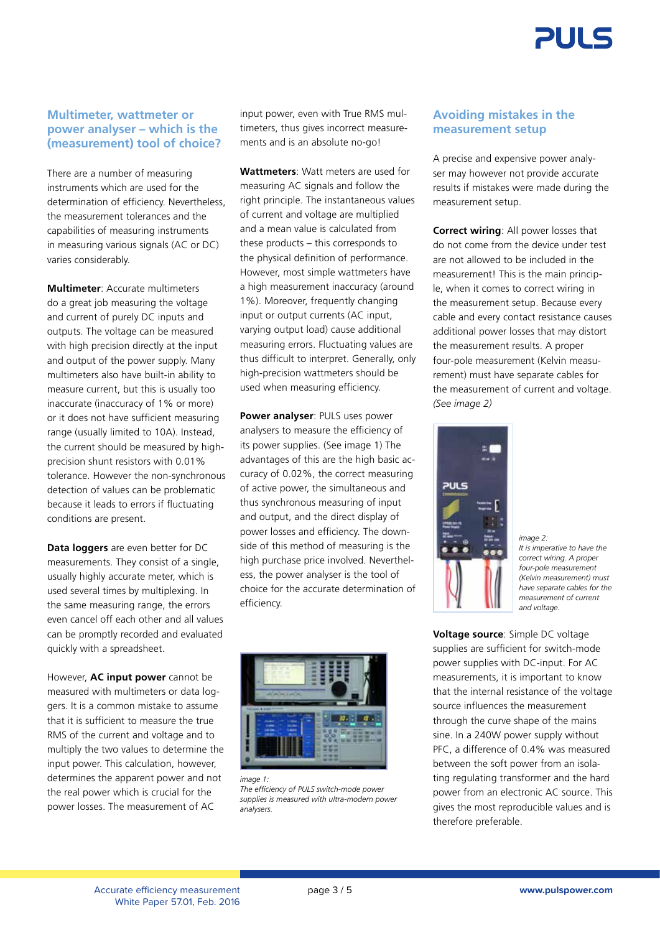

#### **Multimeter, wattmeter or power analyser – which is the (measurement) tool of choice?**

There are a number of measuring instruments which are used for the determination of efficiency. Nevertheless, the measurement tolerances and the capabilities of measuring instruments in measuring various signals (AC or DC) varies considerably.

**Multimeter**: Accurate multimeters do a great job measuring the voltage and current of purely DC inputs and outputs. The voltage can be measured with high precision directly at the input and output of the power supply. Many multimeters also have built-in ability to measure current, but this is usually too inaccurate (inaccuracy of 1% or more) or it does not have sufficient measuring range (usually limited to 10A). Instead, the current should be measured by highprecision shunt resistors with 0.01% tolerance. However the non-synchronous detection of values can be problematic because it leads to errors if fluctuating conditions are present.

**Data loggers** are even better for DC measurements. They consist of a single, usually highly accurate meter, which is used several times by multiplexing. In the same measuring range, the errors even cancel off each other and all values can be promptly recorded and evaluated quickly with a spreadsheet.

However, **AC input power** cannot be measured with multimeters or data loggers. It is a common mistake to assume that it is sufficient to measure the true RMS of the current and voltage and to multiply the two values to determine the input power. This calculation, however, determines the apparent power and not the real power which is crucial for the power losses. The measurement of AC

input power, even with True RMS multimeters, thus gives incorrect measurements and is an absolute no-go!

**Wattmeters**: Watt meters are used for measuring AC signals and follow the right principle. The instantaneous values of current and voltage are multiplied and a mean value is calculated from these products – this corresponds to the physical definition of performance. However, most simple wattmeters have a high measurement inaccuracy (around 1%). Moreover, frequently changing input or output currents (AC input, varying output load) cause additional measuring errors. Fluctuating values are thus difficult to interpret. Generally, only high-precision wattmeters should be used when measuring efficiency.

**Power analyser**: PULS uses power analysers to measure the efficiency of its power supplies. (See image 1) The advantages of this are the high basic accuracy of 0.02%, the correct measuring of active power, the simultaneous and thus synchronous measuring of input and output, and the direct display of power losses and efficiency. The downside of this method of measuring is the high purchase price involved. Nevertheless, the power analyser is the tool of choice for the accurate determination of efficiency.



*The efficiency of PULS switch-mode power supplies is measured with ultra-modern power analysers.*

### **Avoiding mistakes in the measurement setup**

A precise and expensive power analyser may however not provide accurate results if mistakes were made during the measurement setup.

**Correct wiring**: All power losses that do not come from the device under test are not allowed to be included in the measurement! This is the main principle, when it comes to correct wiring in the measurement setup. Because every cable and every contact resistance causes additional power losses that may distort the measurement results. A proper four-pole measurement (Kelvin measurement) must have separate cables for the measurement of current and voltage. *(See image 2)*



*image 2:*

*It is imperative to have the correct wiring. A proper four-pole measurement (Kelvin measurement) must have separate cables for the measurement of current and voltage.*

**Voltage source**: Simple DC voltage supplies are sufficient for switch-mode power supplies with DC-input. For AC measurements, it is important to know that the internal resistance of the voltage source influences the measurement through the curve shape of the mains sine. In a 240W power supply without PFC, a difference of 0.4% was measured between the soft power from an isolating regulating transformer and the hard power from an electronic AC source. This gives the most reproducible values and is therefore preferable.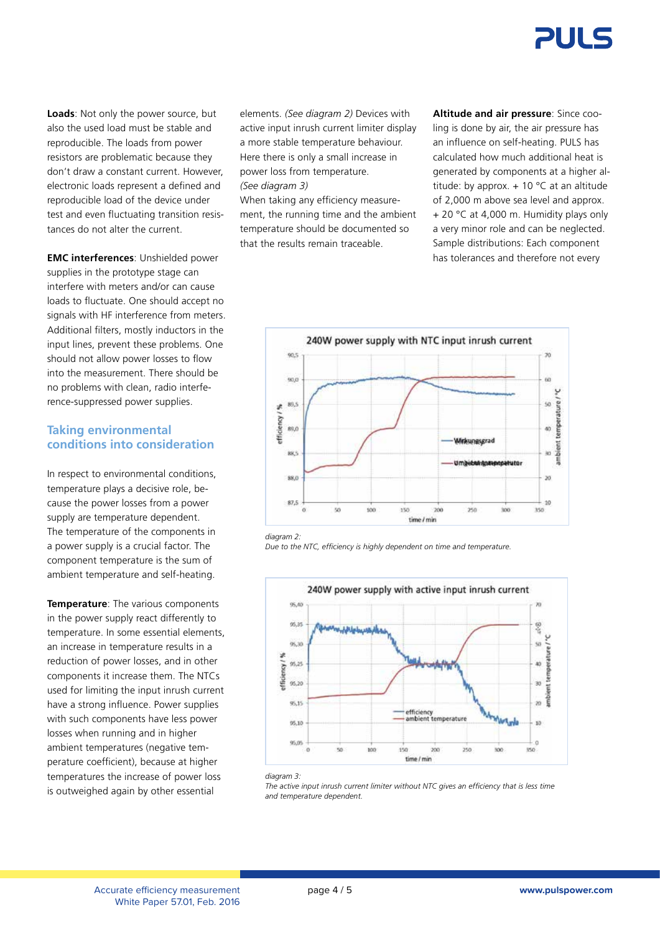

**Loads**: Not only the power source, but also the used load must be stable and reproducible. The loads from power resistors are problematic because they don't draw a constant current. However, electronic loads represent a defined and reproducible load of the device under test and even fluctuating transition resistances do not alter the current.

**EMC interferences**: Unshielded power supplies in the prototype stage can interfere with meters and/or can cause loads to fluctuate. One should accept no signals with HF interference from meters. Additional filters, mostly inductors in the input lines, prevent these problems. One should not allow power losses to flow into the measurement. There should be no problems with clean, radio interference-suppressed power supplies.

#### **Taking environmental conditions into consideration**

In respect to environmental conditions, temperature plays a decisive role, because the power losses from a power supply are temperature dependent. The temperature of the components in a power supply is a crucial factor. The component temperature is the sum of ambient temperature and self-heating.

**Temperature**: The various components in the power supply react differently to temperature. In some essential elements, an increase in temperature results in a reduction of power losses, and in other components it increase them. The NTCs used for limiting the input inrush current have a strong influence. Power supplies with such components have less power losses when running and in higher ambient temperatures (negative temperature coefficient), because at higher temperatures the increase of power loss is outweighed again by other essential

elements. *(See diagram 2)* Devices with active input inrush current limiter display a more stable temperature behaviour. Here there is only a small increase in power loss from temperature. *(See diagram 3)*

When taking any efficiency measurement, the running time and the ambient temperature should be documented so that the results remain traceable.

**Altitude and air pressure**: Since cooling is done by air, the air pressure has an influence on self-heating. PULS has calculated how much additional heat is generated by components at a higher altitude: by approx.  $+10$  °C at an altitude of 2,000 m above sea level and approx. + 20 °C at 4,000 m. Humidity plays only a very minor role and can be neglected. Sample distributions: Each component has tolerances and therefore not every



*diagram 2:*

*Due to the NTC, efficiency is highly dependent on time and temperature.*



*diagram 3:*

*The active input inrush current limiter without NTC gives an efficiency that is less time and temperature dependent.*